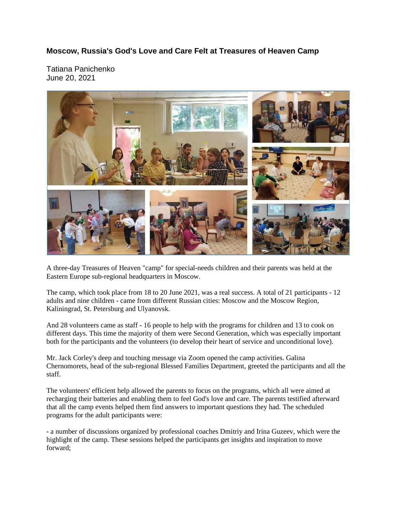## **Moscow, Russia's God's Love and Care Felt at Treasures of Heaven Camp**

Tatiana Panichenko June 20, 2021



A three-day Treasures of Heaven "camp" for special-needs children and their parents was held at the Eastern Europe sub-regional headquarters in Moscow.

The camp, which took place from 18 to 20 June 2021, was a real success. A total of 21 participants - 12 adults and nine children - came from different Russian cities: Moscow and the Moscow Region, Kaliningrad, St. Petersburg and Ulyanovsk.

And 28 volunteers came as staff - 16 people to help with the programs for children and 13 to cook on different days. This time the majority of them were Second Generation, which was especially important both for the participants and the volunteers (to develop their heart of service and unconditional love).

Mr. Jack Corley's deep and touching message via Zoom opened the camp activities. Galina Chernomorets, head of the sub-regional Blessed Families Department, greeted the participants and all the staff.

The volunteers' efficient help allowed the parents to focus on the programs, which all were aimed at recharging their batteries and enabling them to feel God's love and care. The parents testified afterward that all the camp events helped them find answers to important questions they had. The scheduled programs for the adult participants were:

- a number of discussions organized by professional coaches Dmitriy and Irina Guzeev, which were the highlight of the camp. These sessions helped the participants get insights and inspiration to move forward;